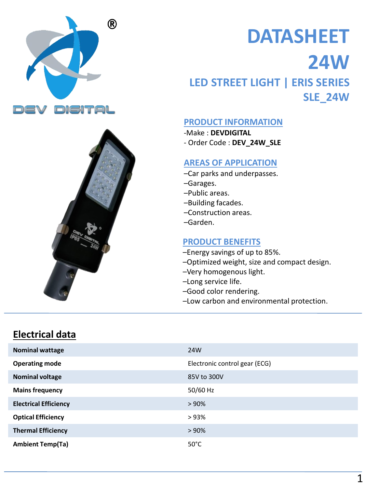



# **DATASHEET 24W LED STREET LIGHT | ERIS SERIES SLE\_24W**

#### **PRODUCT INFORMATION**

- -Make : **DEVDIGITAL**
- Order Code : **DEV\_24W\_SLE**

#### **AREAS OF APPLICATION**

- –Car parks and underpasses.
- –Garages.
- –Public areas.
- –Building facades.
- –Construction areas.
- –Garden.

#### **PRODUCT BENEFITS**

- –Energy savings of up to 85%.
- –Optimized weight, size and compact design.
- –Very homogenous light.
- –Long service life.
- –Good color rendering.
- –Low carbon and environmental protection.

#### **Electrical data**

| <b>Nominal wattage</b>       | 24W                           |
|------------------------------|-------------------------------|
| <b>Operating mode</b>        | Electronic control gear (ECG) |
| <b>Nominal voltage</b>       | 85V to 300V                   |
| <b>Mains frequency</b>       | 50/60 Hz                      |
| <b>Electrical Efficiency</b> | > 90%                         |
| <b>Optical Efficiency</b>    | >93%                          |
| <b>Thermal Efficiency</b>    | >90%                          |
| <b>Ambient Temp(Ta)</b>      | $50^{\circ}$ C                |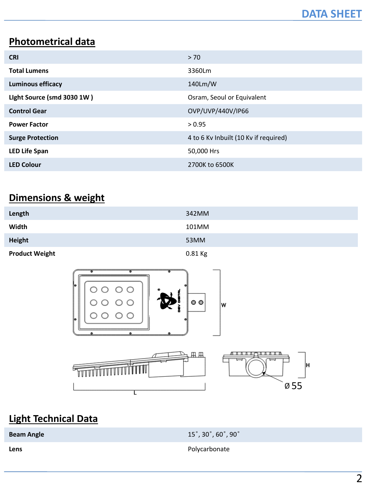## **Photometrical data**

| <b>CRI</b>                 | > 70                                  |
|----------------------------|---------------------------------------|
| <b>Total Lumens</b>        | 3360Lm                                |
| <b>Luminous efficacy</b>   | 140Lm/W                               |
| Light Source (smd 3030 1W) | Osram, Seoul or Equivalent            |
| <b>Control Gear</b>        | OVP/UVP/440V/IP66                     |
| <b>Power Factor</b>        | > 0.95                                |
| <b>Surge Protection</b>    | 4 to 6 Kv Inbuilt (10 Kv if required) |
| <b>LED Life Span</b>       | 50,000 Hrs                            |
| <b>LED Colour</b>          | 2700K to 6500K                        |

### **Dimensions & weight**

| Length                | 342MM   |
|-----------------------|---------|
| Width                 | 101MM   |
| Height                | 53MM    |
| <b>Product Weight</b> | 0.81 Kg |



## **Light Technical Data**

**Beam Angle 15°, 30°, 60°, 90°** 

Lens **Lens Polycarbonate**